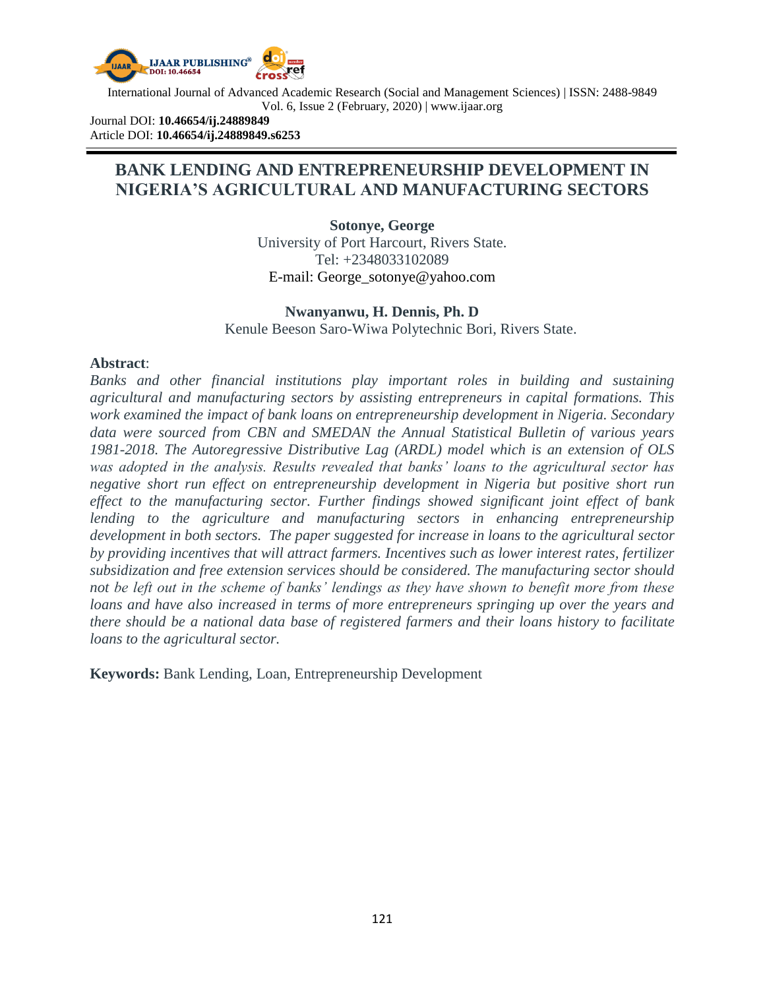

International Journal of Advanced Academic Research (Social and Management Sciences) | ISSN: 2488-9849 Vol. 6, Issue 2 (February, 2020) | www.ijaar.org

Journal DOI: **10.46654/ij.24889849** Article DOI: **10.46654/ij.24889849.s6253**

# **BANK LENDING AND ENTREPRENEURSHIP DEVELOPMENT IN NIGERIA'S AGRICULTURAL AND MANUFACTURING SECTORS**

**Sotonye, George** University of Port Harcourt, Rivers State. Tel: +2348033102089 E-mail: [George\\_sotonye@yahoo.com](mailto:George_sotonye@yahoo.com)

#### **Nwanyanwu, H. Dennis, Ph. D** Kenule Beeson Saro-Wiwa Polytechnic Bori, Rivers State.

#### **Abstract**:

*Banks and other financial institutions play important roles in building and sustaining agricultural and manufacturing sectors by assisting entrepreneurs in capital formations. This work examined the impact of bank loans on entrepreneurship development in Nigeria. Secondary data were sourced from CBN and SMEDAN the Annual Statistical Bulletin of various years 1981-2018. The Autoregressive Distributive Lag (ARDL) model which is an extension of OLS was adopted in the analysis. Results revealed that banks' loans to the agricultural sector has negative short run effect on entrepreneurship development in Nigeria but positive short run effect to the manufacturing sector. Further findings showed significant joint effect of bank lending to the agriculture and manufacturing sectors in enhancing entrepreneurship development in both sectors. The paper suggested for increase in loans to the agricultural sector by providing incentives that will attract farmers. Incentives such as lower interest rates, fertilizer subsidization and free extension services should be considered. The manufacturing sector should not be left out in the scheme of banks' lendings as they have shown to benefit more from these loans and have also increased in terms of more entrepreneurs springing up over the years and there should be a national data base of registered farmers and their loans history to facilitate loans to the agricultural sector.*

**Keywords:** Bank Lending, Loan, Entrepreneurship Development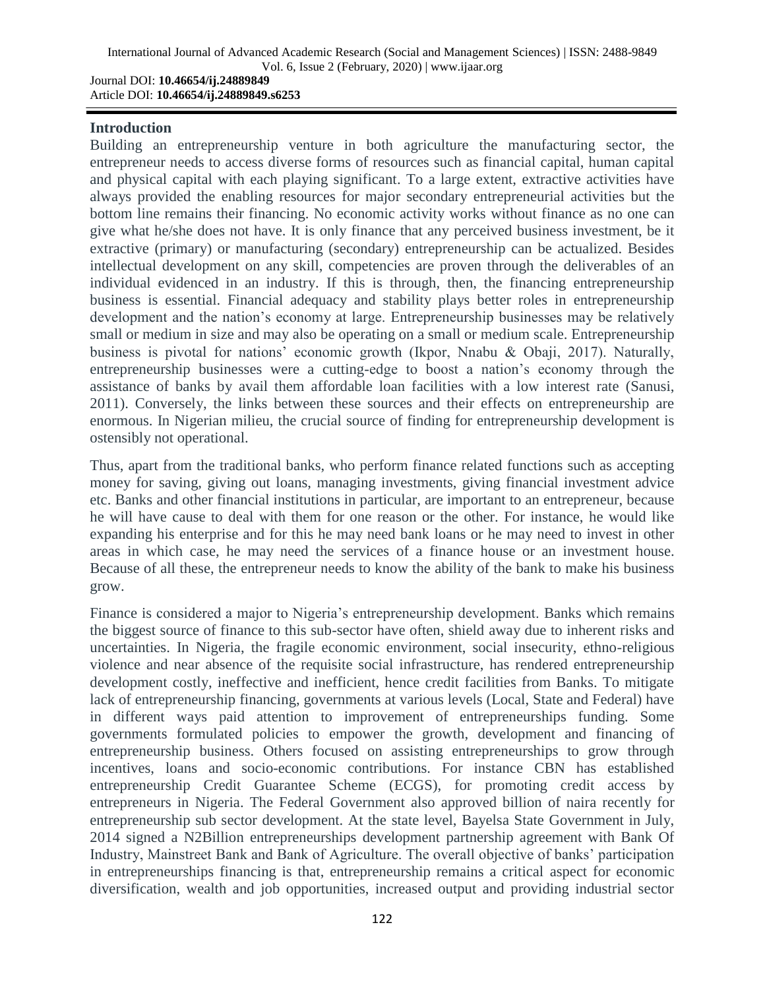#### **Introduction**

Article DOI: **10.46654/ij.24889849.s6253**

Building an entrepreneurship venture in both agriculture the manufacturing sector, the entrepreneur needs to access diverse forms of resources such as financial capital, human capital and physical capital with each playing significant. To a large extent, extractive activities have always provided the enabling resources for major secondary entrepreneurial activities but the bottom line remains their financing. No economic activity works without finance as no one can give what he/she does not have. It is only finance that any perceived business investment, be it extractive (primary) or manufacturing (secondary) entrepreneurship can be actualized. Besides intellectual development on any skill, competencies are proven through the deliverables of an individual evidenced in an industry. If this is through, then, the financing entrepreneurship business is essential. Financial adequacy and stability plays better roles in entrepreneurship development and the nation's economy at large. Entrepreneurship businesses may be relatively small or medium in size and may also be operating on a small or medium scale. Entrepreneurship business is pivotal for nations" economic growth (Ikpor, Nnabu & Obaji, 2017). Naturally, entrepreneurship businesses were a cutting-edge to boost a nation"s economy through the assistance of banks by avail them affordable loan facilities with a low interest rate (Sanusi, 2011). Conversely, the links between these sources and their effects on entrepreneurship are enormous. In Nigerian milieu, the crucial source of finding for entrepreneurship development is ostensibly not operational.

Thus, apart from the traditional banks, who perform finance related functions such as accepting money for saving, giving out loans, managing investments, giving financial investment advice etc. Banks and other financial institutions in particular, are important to an entrepreneur, because he will have cause to deal with them for one reason or the other. For instance, he would like expanding his enterprise and for this he may need bank loans or he may need to invest in other areas in which case, he may need the services of a finance house or an investment house. Because of all these, the entrepreneur needs to know the ability of the bank to make his business grow.

Finance is considered a major to Nigeria's entrepreneurship development. Banks which remains the biggest source of finance to this sub-sector have often, shield away due to inherent risks and uncertainties. In Nigeria, the fragile economic environment, social insecurity, ethno-religious violence and near absence of the requisite social infrastructure, has rendered entrepreneurship development costly, ineffective and inefficient, hence credit facilities from Banks. To mitigate lack of entrepreneurship financing, governments at various levels (Local, State and Federal) have in different ways paid attention to improvement of entrepreneurships funding. Some governments formulated policies to empower the growth, development and financing of entrepreneurship business. Others focused on assisting entrepreneurships to grow through incentives, loans and socio-economic contributions. For instance CBN has established entrepreneurship Credit Guarantee Scheme (ECGS), for promoting credit access by entrepreneurs in Nigeria. The Federal Government also approved billion of naira recently for entrepreneurship sub sector development. At the state level, Bayelsa State Government in July, 2014 signed a N2Billion entrepreneurships development partnership agreement with Bank Of Industry, Mainstreet Bank and Bank of Agriculture. The overall objective of banks" participation in entrepreneurships financing is that, entrepreneurship remains a critical aspect for economic diversification, wealth and job opportunities, increased output and providing industrial sector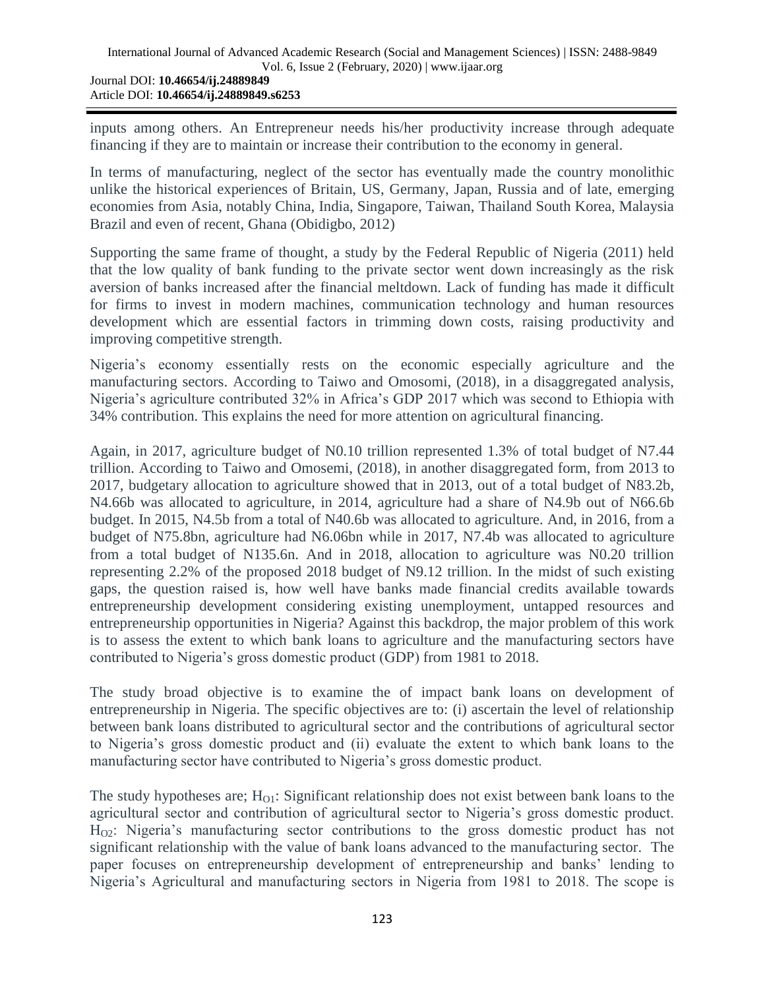inputs among others. An Entrepreneur needs his/her productivity increase through adequate financing if they are to maintain or increase their contribution to the economy in general.

In terms of manufacturing, neglect of the sector has eventually made the country monolithic unlike the historical experiences of Britain, US, Germany, Japan, Russia and of late, emerging economies from Asia, notably China, India, Singapore, Taiwan, Thailand South Korea, Malaysia Brazil and even of recent, Ghana (Obidigbo, 2012)

Supporting the same frame of thought, a study by the Federal Republic of Nigeria (2011) held that the low quality of bank funding to the private sector went down increasingly as the risk aversion of banks increased after the financial meltdown. Lack of funding has made it difficult for firms to invest in modern machines, communication technology and human resources development which are essential factors in trimming down costs, raising productivity and improving competitive strength.

Nigeria"s economy essentially rests on the economic especially agriculture and the manufacturing sectors. According to Taiwo and Omosomi, (2018), in a disaggregated analysis, Nigeria"s agriculture contributed 32% in Africa"s GDP 2017 which was second to Ethiopia with 34% contribution. This explains the need for more attention on agricultural financing.

Again, in 2017, agriculture budget of N0.10 trillion represented 1.3% of total budget of N7.44 trillion. According to Taiwo and Omosemi, (2018), in another disaggregated form, from 2013 to 2017, budgetary allocation to agriculture showed that in 2013, out of a total budget of N83.2b, N4.66b was allocated to agriculture, in 2014, agriculture had a share of N4.9b out of N66.6b budget. In 2015, N4.5b from a total of N40.6b was allocated to agriculture. And, in 2016, from a budget of N75.8bn, agriculture had N6.06bn while in 2017, N7.4b was allocated to agriculture from a total budget of N135.6n. And in 2018, allocation to agriculture was N0.20 trillion representing 2.2% of the proposed 2018 budget of N9.12 trillion. In the midst of such existing gaps, the question raised is, how well have banks made financial credits available towards entrepreneurship development considering existing unemployment, untapped resources and entrepreneurship opportunities in Nigeria? Against this backdrop, the major problem of this work is to assess the extent to which bank loans to agriculture and the manufacturing sectors have contributed to Nigeria"s gross domestic product (GDP) from 1981 to 2018.

The study broad objective is to examine the of impact bank loans on development of entrepreneurship in Nigeria. The specific objectives are to: (i) ascertain the level of relationship between bank loans distributed to agricultural sector and the contributions of agricultural sector to Nigeria"s gross domestic product and (ii) evaluate the extent to which bank loans to the manufacturing sector have contributed to Nigeria's gross domestic product.

The study hypotheses are;  $H_{O1}$ : Significant relationship does not exist between bank loans to the agricultural sector and contribution of agricultural sector to Nigeria's gross domestic product.  $H_{02}$ : Nigeria's manufacturing sector contributions to the gross domestic product has not significant relationship with the value of bank loans advanced to the manufacturing sector. The paper focuses on entrepreneurship development of entrepreneurship and banks" lending to Nigeria"s Agricultural and manufacturing sectors in Nigeria from 1981 to 2018. The scope is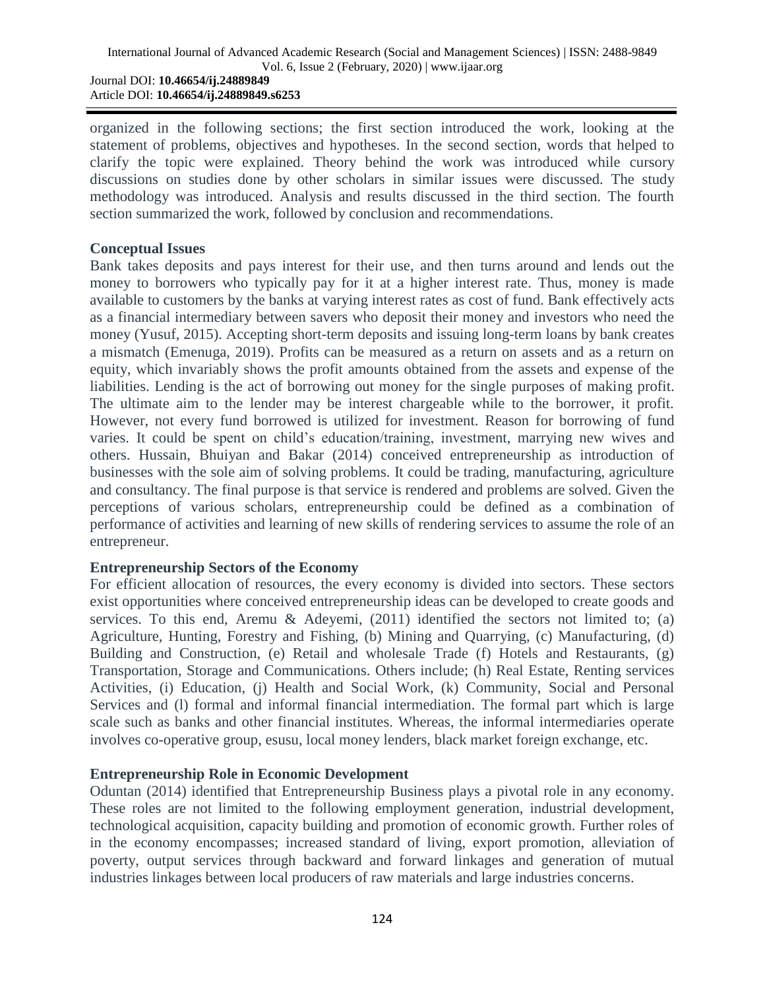organized in the following sections; the first section introduced the work, looking at the statement of problems, objectives and hypotheses. In the second section, words that helped to clarify the topic were explained. Theory behind the work was introduced while cursory discussions on studies done by other scholars in similar issues were discussed. The study methodology was introduced. Analysis and results discussed in the third section. The fourth section summarized the work, followed by conclusion and recommendations.

#### **Conceptual Issues**

Bank takes deposits and pays interest for their use, and then turns around and lends out the money to borrowers who typically pay for it at a higher interest rate. Thus, money is made available to customers by the banks at varying interest rates as cost of fund. Bank effectively acts as a financial intermediary between savers who deposit their money and investors who need the money (Yusuf, 2015). Accepting short-term deposits and issuing long-term loans by bank creates a mismatch (Emenuga, 2019). Profits can be measured as a return on assets and as a return on equity, which invariably shows the profit amounts obtained from the assets and expense of the liabilities. Lending is the act of borrowing out money for the single purposes of making profit. The ultimate aim to the lender may be interest chargeable while to the borrower, it profit. However, not every fund borrowed is utilized for investment. Reason for borrowing of fund varies. It could be spent on child"s education/training, investment, marrying new wives and others. Hussain, Bhuiyan and Bakar (2014) conceived entrepreneurship as introduction of businesses with the sole aim of solving problems. It could be trading, manufacturing, agriculture and consultancy. The final purpose is that service is rendered and problems are solved. Given the perceptions of various scholars, entrepreneurship could be defined as a combination of performance of activities and learning of new skills of rendering services to assume the role of an entrepreneur.

## **Entrepreneurship Sectors of the Economy**

For efficient allocation of resources, the every economy is divided into sectors. These sectors exist opportunities where conceived entrepreneurship ideas can be developed to create goods and services. To this end, Aremu & Adeyemi, (2011) identified the sectors not limited to; (a) Agriculture, Hunting, Forestry and Fishing, (b) Mining and Quarrying, (c) Manufacturing, (d) Building and Construction, (e) Retail and wholesale Trade (f) Hotels and Restaurants, (g) Transportation, Storage and Communications. Others include; (h) Real Estate, Renting services Activities, (i) Education, (j) Health and Social Work, (k) Community, Social and Personal Services and (l) formal and informal financial intermediation. The formal part which is large scale such as banks and other financial institutes. Whereas, the informal intermediaries operate involves co-operative group, esusu, local money lenders, black market foreign exchange, etc.

## **Entrepreneurship Role in Economic Development**

Oduntan (2014) identified that Entrepreneurship Business plays a pivotal role in any economy. These roles are not limited to the following employment generation, industrial development, technological acquisition, capacity building and promotion of economic growth. Further roles of in the economy encompasses; increased standard of living, export promotion, alleviation of poverty, output services through backward and forward linkages and generation of mutual industries linkages between local producers of raw materials and large industries concerns.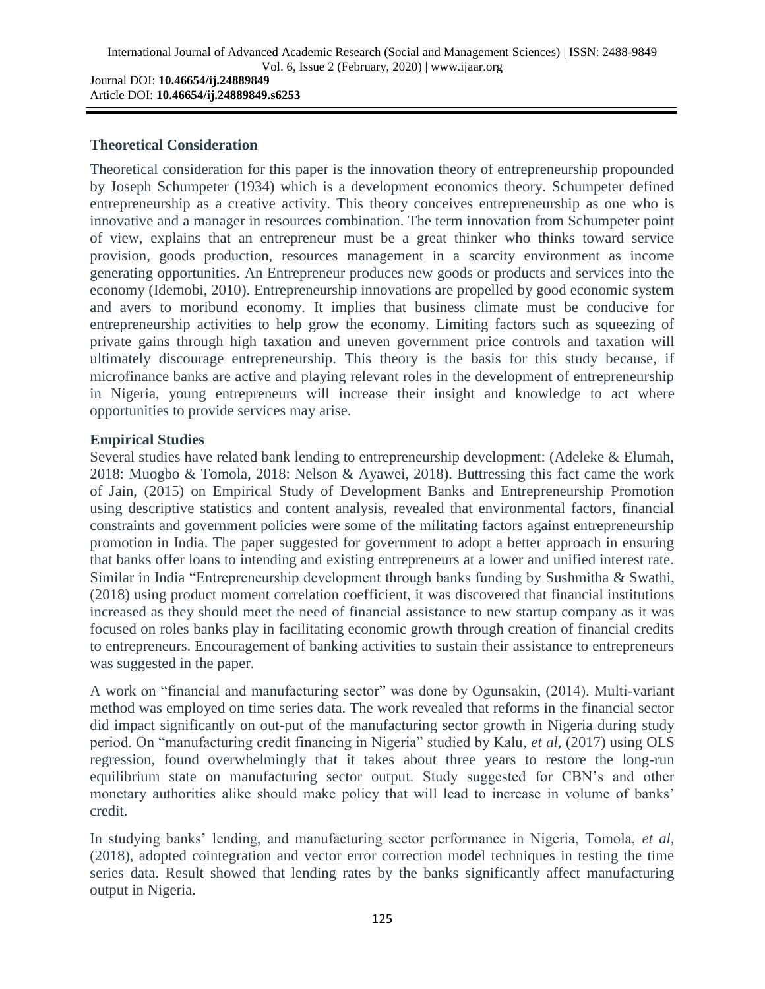Article DOI: **10.46654/ij.24889849.s6253**

#### **Theoretical Consideration**

Theoretical consideration for this paper is the innovation theory of entrepreneurship propounded by Joseph Schumpeter (1934) which is a development economics theory. Schumpeter defined entrepreneurship as a creative activity. This theory conceives entrepreneurship as one who is innovative and a manager in resources combination. The term innovation from Schumpeter point of view, explains that an entrepreneur must be a great thinker who thinks toward service provision, goods production, resources management in a scarcity environment as income generating opportunities. An Entrepreneur produces new goods or products and services into the economy (Idemobi, 2010). Entrepreneurship innovations are propelled by good economic system and avers to moribund economy. It implies that business climate must be conducive for entrepreneurship activities to help grow the economy. Limiting factors such as squeezing of private gains through high taxation and uneven government price controls and taxation will ultimately discourage entrepreneurship. This theory is the basis for this study because, if microfinance banks are active and playing relevant roles in the development of entrepreneurship in Nigeria, young entrepreneurs will increase their insight and knowledge to act where opportunities to provide services may arise.

#### **Empirical Studies**

Several studies have related bank lending to entrepreneurship development: (Adeleke & Elumah, 2018: Muogbo & Tomola, 2018: Nelson & Ayawei, 2018). Buttressing this fact came the work of Jain, (2015) on Empirical Study of Development Banks and Entrepreneurship Promotion using descriptive statistics and content analysis, revealed that environmental factors, financial constraints and government policies were some of the militating factors against entrepreneurship promotion in India. The paper suggested for government to adopt a better approach in ensuring that banks offer loans to intending and existing entrepreneurs at a lower and unified interest rate. Similar in India "Entrepreneurship development through banks funding by Sushmitha & Swathi, (2018) using product moment correlation coefficient, it was discovered that financial institutions increased as they should meet the need of financial assistance to new startup company as it was focused on roles banks play in facilitating economic growth through creation of financial credits to entrepreneurs. Encouragement of banking activities to sustain their assistance to entrepreneurs was suggested in the paper.

A work on "financial and manufacturing sector" was done by Ogunsakin, (2014). Multi-variant method was employed on time series data. The work revealed that reforms in the financial sector did impact significantly on out-put of the manufacturing sector growth in Nigeria during study period. On "manufacturing credit financing in Nigeria" studied by Kalu, *et al,* (2017) using OLS regression, found overwhelmingly that it takes about three years to restore the long-run equilibrium state on manufacturing sector output. Study suggested for CBN"s and other monetary authorities alike should make policy that will lead to increase in volume of banks' credit.

In studying banks" lending, and manufacturing sector performance in Nigeria, Tomola, *et al,* (2018), adopted cointegration and vector error correction model techniques in testing the time series data. Result showed that lending rates by the banks significantly affect manufacturing output in Nigeria.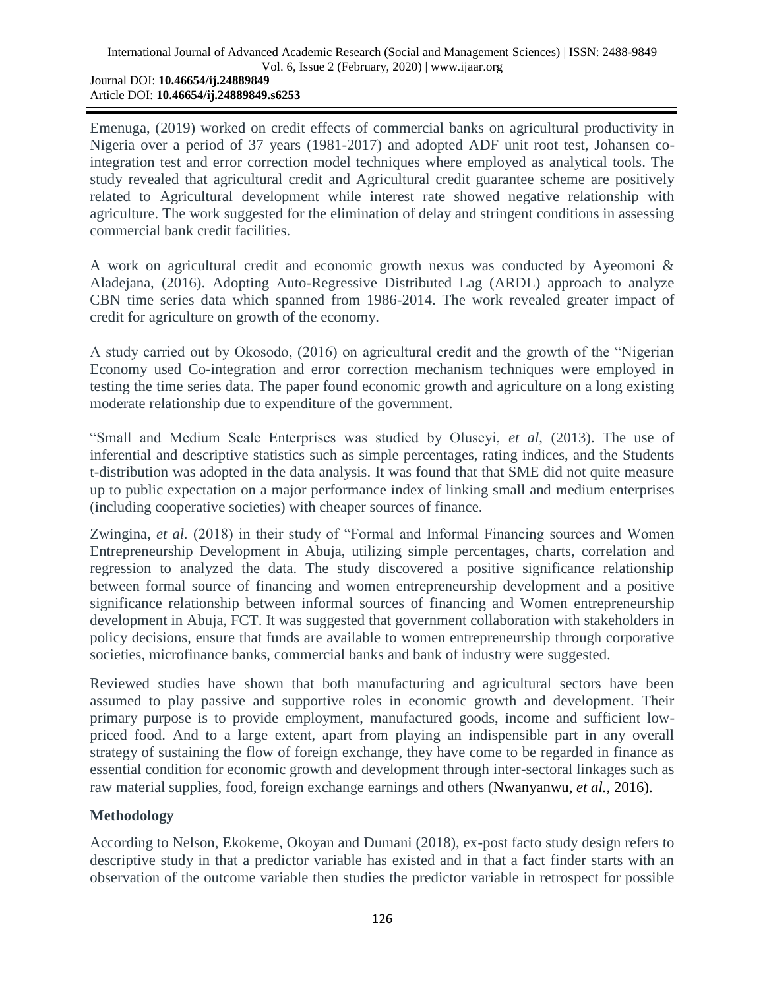Emenuga, (2019) worked on credit effects of commercial banks on agricultural productivity in Nigeria over a period of 37 years (1981-2017) and adopted ADF unit root test, Johansen cointegration test and error correction model techniques where employed as analytical tools. The study revealed that agricultural credit and Agricultural credit guarantee scheme are positively related to Agricultural development while interest rate showed negative relationship with agriculture. The work suggested for the elimination of delay and stringent conditions in assessing commercial bank credit facilities.

A work on agricultural credit and economic growth nexus was conducted by Ayeomoni & Aladejana, (2016). Adopting Auto-Regressive Distributed Lag (ARDL) approach to analyze CBN time series data which spanned from 1986-2014. The work revealed greater impact of credit for agriculture on growth of the economy.

A study carried out by Okosodo, (2016) on agricultural credit and the growth of the "Nigerian Economy used Co-integration and error correction mechanism techniques were employed in testing the time series data. The paper found economic growth and agriculture on a long existing moderate relationship due to expenditure of the government.

"Small and Medium Scale Enterprises was studied by Oluseyi, *et al*, (2013). The use of inferential and descriptive statistics such as simple percentages, rating indices, and the Students t-distribution was adopted in the data analysis. It was found that that SME did not quite measure up to public expectation on a major performance index of linking small and medium enterprises (including cooperative societies) with cheaper sources of finance.

Zwingina, *et al.* (2018) in their study of "Formal and Informal Financing sources and Women Entrepreneurship Development in Abuja, utilizing simple percentages, charts, correlation and regression to analyzed the data. The study discovered a positive significance relationship between formal source of financing and women entrepreneurship development and a positive significance relationship between informal sources of financing and Women entrepreneurship development in Abuja, FCT. It was suggested that government collaboration with stakeholders in policy decisions, ensure that funds are available to women entrepreneurship through corporative societies, microfinance banks, commercial banks and bank of industry were suggested.

Reviewed studies have shown that both manufacturing and agricultural sectors have been assumed to play passive and supportive roles in economic growth and development. Their primary purpose is to provide employment, manufactured goods, income and sufficient lowpriced food. And to a large extent, apart from playing an indispensible part in any overall strategy of sustaining the flow of foreign exchange, they have come to be regarded in finance as essential condition for economic growth and development through inter-sectoral linkages such as raw material supplies, food, foreign exchange earnings and others (Nwanyanwu*, et al.,* 2016).

# **Methodology**

According to Nelson, Ekokeme, Okoyan and Dumani (2018), ex-post facto study design refers to descriptive study in that a predictor variable has existed and in that a fact finder starts with an observation of the outcome variable then studies the predictor variable in retrospect for possible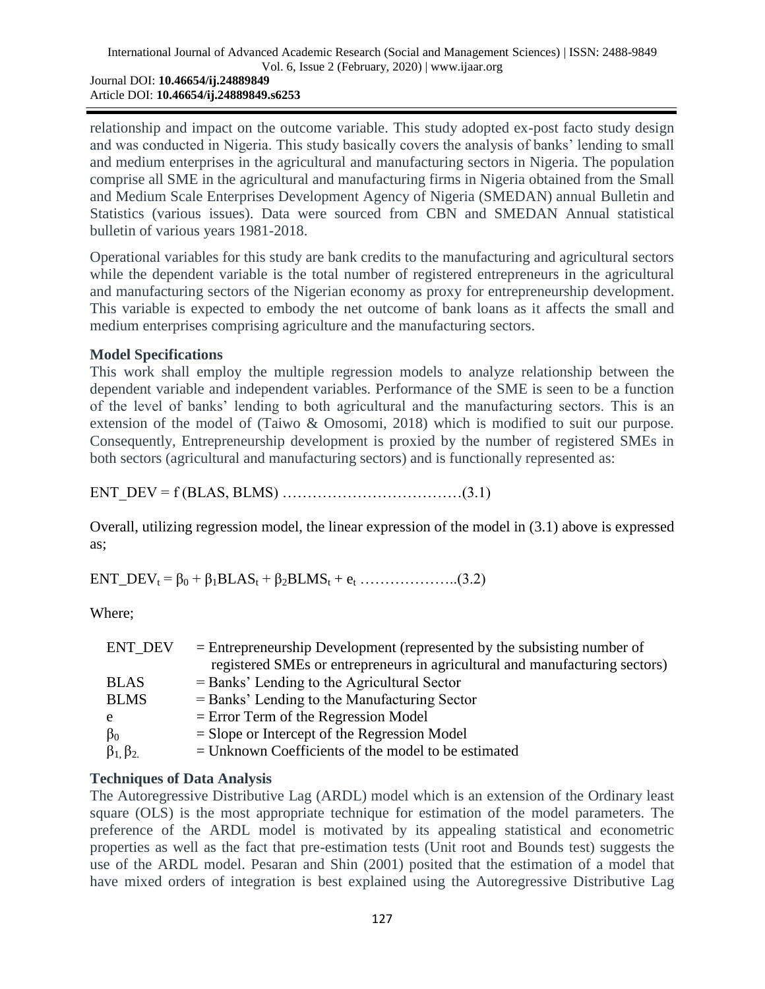Article DOI: **10.46654/ij.24889849.s6253**

relationship and impact on the outcome variable. This study adopted ex-post facto study design and was conducted in Nigeria. This study basically covers the analysis of banks" lending to small and medium enterprises in the agricultural and manufacturing sectors in Nigeria. The population comprise all SME in the agricultural and manufacturing firms in Nigeria obtained from the Small and Medium Scale Enterprises Development Agency of Nigeria (SMEDAN) annual Bulletin and Statistics (various issues). Data were sourced from CBN and SMEDAN Annual statistical bulletin of various years 1981-2018.

Operational variables for this study are bank credits to the manufacturing and agricultural sectors while the dependent variable is the total number of registered entrepreneurs in the agricultural and manufacturing sectors of the Nigerian economy as proxy for entrepreneurship development. This variable is expected to embody the net outcome of bank loans as it affects the small and medium enterprises comprising agriculture and the manufacturing sectors.

## **Model Specifications**

This work shall employ the multiple regression models to analyze relationship between the dependent variable and independent variables. Performance of the SME is seen to be a function of the level of banks" lending to both agricultural and the manufacturing sectors. This is an extension of the model of (Taiwo & Omosomi, 2018) which is modified to suit our purpose. Consequently, Entrepreneurship development is proxied by the number of registered SMEs in both sectors (agricultural and manufacturing sectors) and is functionally represented as:

ENT DEV =  $f$  (BLAS, BLMS) ……………………………(3.1)

Overall, utilizing regression model, the linear expression of the model in (3.1) above is expressed as;

 $ENT\_DEV_t = \beta_0 + \beta_1 BLAS_t + \beta_2 BLMS_t + e_t$  ………………...(3.2)

Where;

| ENT DEV               | $=$ Entrepreneurship Development (represented by the subsisting number of   |
|-----------------------|-----------------------------------------------------------------------------|
|                       | registered SMEs or entrepreneurs in agricultural and manufacturing sectors) |
| <b>BLAS</b>           | $=$ Banks' Lending to the Agricultural Sector                               |
| <b>BLMS</b>           | $=$ Banks' Lending to the Manufacturing Sector                              |
| e                     | $=$ Error Term of the Regression Model                                      |
| $\beta_0$             | $=$ Slope or Intercept of the Regression Model                              |
| $\beta_1$ , $\beta_2$ | $=$ Unknown Coefficients of the model to be estimated                       |

# **Techniques of Data Analysis**

The Autoregressive Distributive Lag (ARDL) model which is an extension of the Ordinary least square (OLS) is the most appropriate technique for estimation of the model parameters. The preference of the ARDL model is motivated by its appealing statistical and econometric properties as well as the fact that pre-estimation tests (Unit root and Bounds test) suggests the use of the ARDL model. Pesaran and Shin (2001) posited that the estimation of a model that have mixed orders of integration is best explained using the Autoregressive Distributive Lag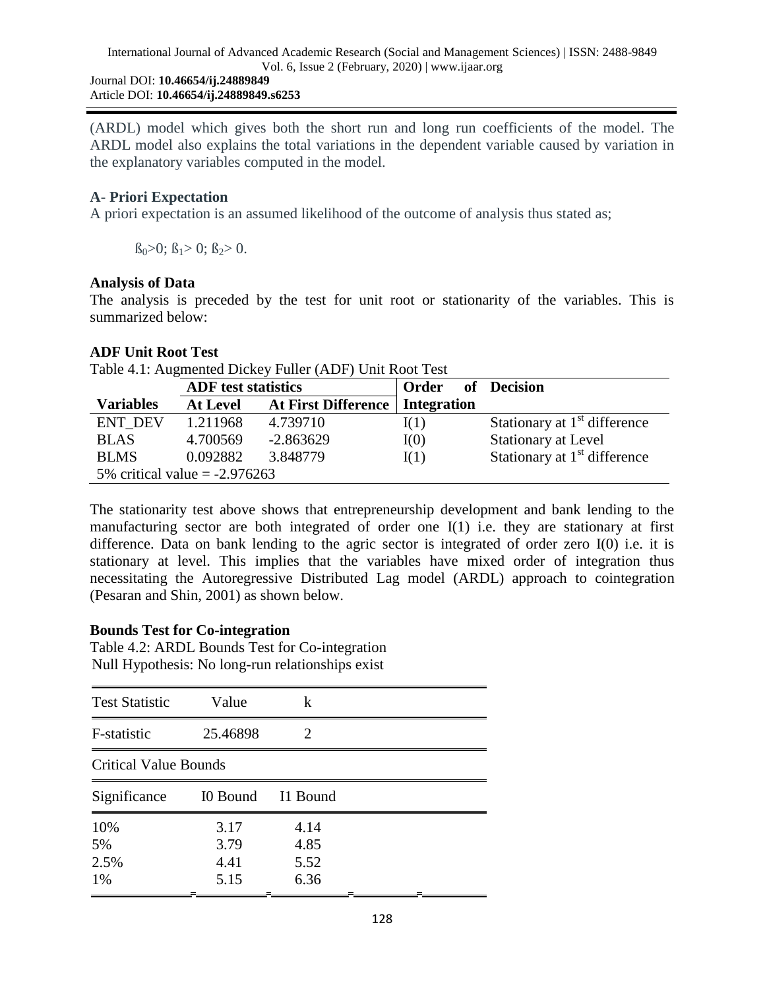(ARDL) model which gives both the short run and long run coefficients of the model. The ARDL model also explains the total variations in the dependent variable caused by variation in the explanatory variables computed in the model.

## **A- Priori Expectation**

A priori expectation is an assumed likelihood of the outcome of analysis thus stated as;

 $\beta_0>0$ ;  $\beta_1>0$ ;  $\beta_2>0$ .

## **Analysis of Data**

The analysis is preceded by the test for unit root or stationarity of the variables. This is summarized below:

## **ADF Unit Root Test**

Table 4.1: Augmented Dickey Fuller (ADF) Unit Root Test

|                                 | <b>ADF</b> test statistics |                     | Order of Decision |                                          |  |
|---------------------------------|----------------------------|---------------------|-------------------|------------------------------------------|--|
| <b>Variables</b>                | <b>At Level</b>            | At First Difference | Integration       |                                          |  |
| <b>ENT DEV</b>                  | 1.211968                   | 4.739710            | I(1)              | Stationary at 1 <sup>st</sup> difference |  |
| <b>BLAS</b>                     | 4.700569                   | $-2.863629$         | I(0)              | <b>Stationary at Level</b>               |  |
| <b>BLMS</b>                     | 0.092882                   | 3.848779            | I(1)              | Stationary at $1st$ difference           |  |
| 5% critical value $= -2.976263$ |                            |                     |                   |                                          |  |

The stationarity test above shows that entrepreneurship development and bank lending to the manufacturing sector are both integrated of order one I(1) i.e. they are stationary at first difference. Data on bank lending to the agric sector is integrated of order zero I(0) i.e. it is stationary at level. This implies that the variables have mixed order of integration thus necessitating the Autoregressive Distributed Lag model (ARDL) approach to cointegration (Pesaran and Shin, 2001) as shown below.

## **Bounds Test for Co-integration**

Table 4.2: ARDL Bounds Test for Co-integration Null Hypothesis: No long-run relationships exist

| <b>Test Statistic</b>        | Value    | k                           |  |  |
|------------------------------|----------|-----------------------------|--|--|
| F-statistic                  | 25.46898 | $\mathcal{D}_{\mathcal{L}}$ |  |  |
| <b>Critical Value Bounds</b> |          |                             |  |  |
| Significance                 | I0 Bound | I1 Bound                    |  |  |
| 10%                          | 3.17     | 4.14                        |  |  |
| 5%                           | 3.79     | 4.85                        |  |  |
| 2.5%                         | 4.41     | 5.52                        |  |  |
| 1%                           | 5.15     | 6.36                        |  |  |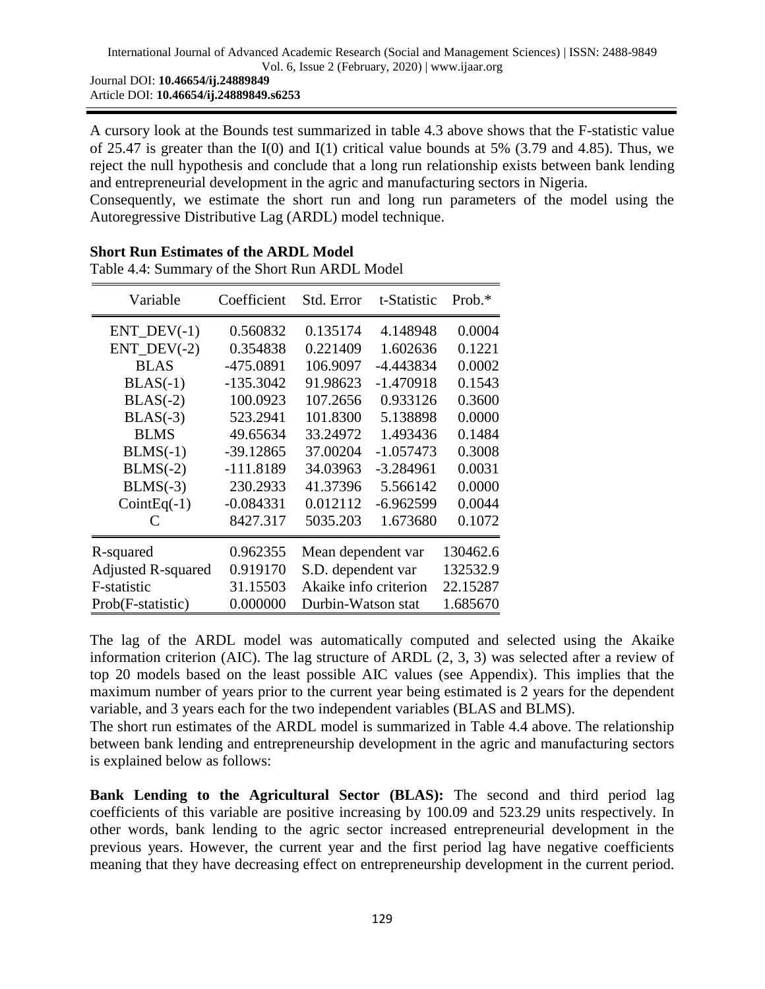A cursory look at the Bounds test summarized in table 4.3 above shows that the F-statistic value of 25.47 is greater than the  $I(0)$  and  $I(1)$  critical value bounds at 5% (3.79 and 4.85). Thus, we reject the null hypothesis and conclude that a long run relationship exists between bank lending and entrepreneurial development in the agric and manufacturing sectors in Nigeria.

Consequently, we estimate the short run and long run parameters of the model using the Autoregressive Distributive Lag (ARDL) model technique.

| Variable                  | Coefficient | Std. Error            | t-Statistic | Prob. $*$ |
|---------------------------|-------------|-----------------------|-------------|-----------|
| $ENT_$ DEV $(-1)$         | 0.560832    | 0.135174              | 4.148948    | 0.0004    |
| $ENT_$ DEV $(-2)$         | 0.354838    | 0.221409              | 1.602636    | 0.1221    |
| <b>BLAS</b>               | -475.0891   | 106.9097              | -4.443834   | 0.0002    |
| $BLAS(-1)$                | $-135.3042$ | 91.98623              | $-1.470918$ | 0.1543    |
| $BLAS(-2)$                | 100.0923    | 107.2656              | 0.933126    | 0.3600    |
| $BLAS(-3)$                | 523.2941    | 101.8300              | 5.138898    | 0.0000    |
| <b>BLMS</b>               | 49.65634    | 33.24972              | 1.493436    | 0.1484    |
| $BLMS(-1)$                | $-39.12865$ | 37.00204              | $-1.057473$ | 0.3008    |
| $BLMS(-2)$                | $-111.8189$ | 34.03963              | $-3.284961$ | 0.0031    |
| $BLMS(-3)$                | 230.2933    | 41.37396              | 5.566142    | 0.0000    |
| $CointEq(-1)$             | $-0.084331$ | 0.012112              | $-6.962599$ | 0.0044    |
| C                         | 8427.317    | 5035.203              | 1.673680    | 0.1072    |
| R-squared                 | 0.962355    | Mean dependent var    |             | 130462.6  |
| <b>Adjusted R-squared</b> | 0.919170    | S.D. dependent var    |             | 132532.9  |
| F-statistic               | 31.15503    | Akaike info criterion |             | 22.15287  |
| Prob(F-statistic)         | 0.000000    | Durbin-Watson stat    |             | 1.685670  |

**Short Run Estimates of the ARDL Model** Table 4.4: Summary of the Short Run ARDL Model

The lag of the ARDL model was automatically computed and selected using the Akaike information criterion (AIC). The lag structure of ARDL (2, 3, 3) was selected after a review of top 20 models based on the least possible AIC values (see Appendix). This implies that the maximum number of years prior to the current year being estimated is 2 years for the dependent variable, and 3 years each for the two independent variables (BLAS and BLMS).

The short run estimates of the ARDL model is summarized in Table 4.4 above. The relationship between bank lending and entrepreneurship development in the agric and manufacturing sectors is explained below as follows:

**Bank Lending to the Agricultural Sector (BLAS):** The second and third period lag coefficients of this variable are positive increasing by 100.09 and 523.29 units respectively. In other words, bank lending to the agric sector increased entrepreneurial development in the previous years. However, the current year and the first period lag have negative coefficients meaning that they have decreasing effect on entrepreneurship development in the current period.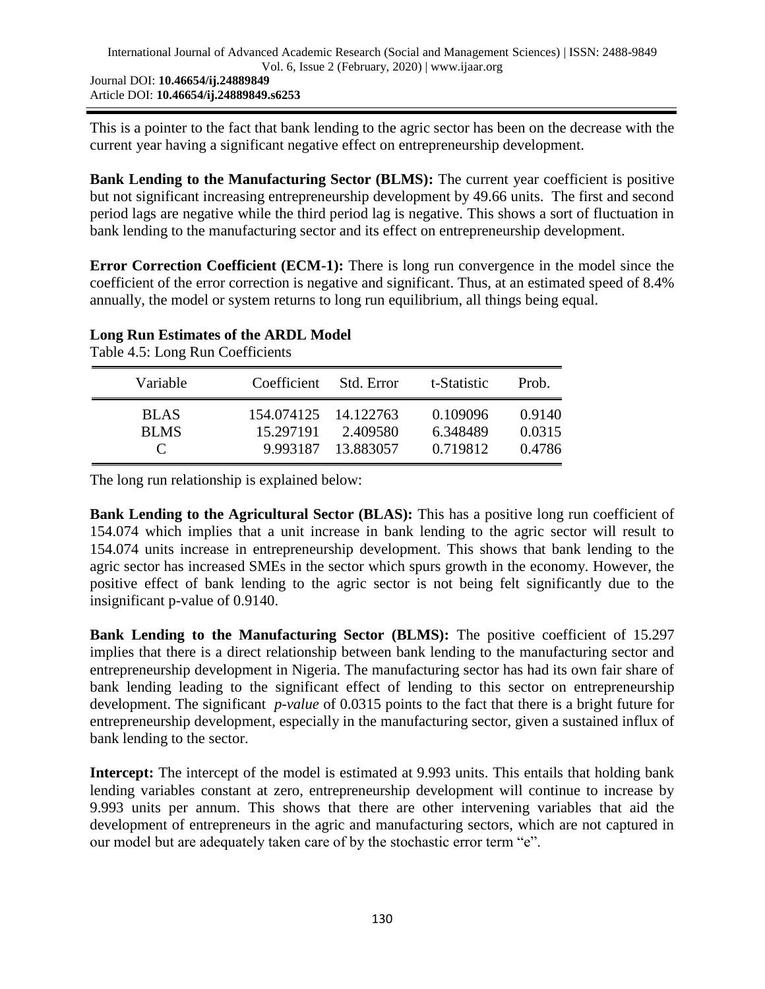This is a pointer to the fact that bank lending to the agric sector has been on the decrease with the current year having a significant negative effect on entrepreneurship development.

**Bank Lending to the Manufacturing Sector (BLMS):** The current year coefficient is positive but not significant increasing entrepreneurship development by 49.66 units. The first and second period lags are negative while the third period lag is negative. This shows a sort of fluctuation in bank lending to the manufacturing sector and its effect on entrepreneurship development.

**Error Correction Coefficient (ECM-1):** There is long run convergence in the model since the coefficient of the error correction is negative and significant. Thus, at an estimated speed of 8.4% annually, the model or system returns to long run equilibrium, all things being equal.

#### **Long Run Estimates of the ARDL Model**

Table 4.5: Long Run Coefficients

| Variable                                    | Coefficient                                   | - Std. Error          | t-Statistic                      | Prob.                      |
|---------------------------------------------|-----------------------------------------------|-----------------------|----------------------------------|----------------------------|
| <b>BLAS</b><br><b>BLMS</b><br>$\mathcal{C}$ | 154.074125 14.122763<br>15.297191<br>9.993187 | 2.409580<br>13.883057 | 0.109096<br>6.348489<br>0.719812 | 0.9140<br>0.0315<br>0.4786 |

The long run relationship is explained below:

**Bank Lending to the Agricultural Sector (BLAS):** This has a positive long run coefficient of 154.074 which implies that a unit increase in bank lending to the agric sector will result to 154.074 units increase in entrepreneurship development. This shows that bank lending to the agric sector has increased SMEs in the sector which spurs growth in the economy. However, the positive effect of bank lending to the agric sector is not being felt significantly due to the insignificant p-value of 0.9140.

**Bank Lending to the Manufacturing Sector (BLMS):** The positive coefficient of 15.297 implies that there is a direct relationship between bank lending to the manufacturing sector and entrepreneurship development in Nigeria. The manufacturing sector has had its own fair share of bank lending leading to the significant effect of lending to this sector on entrepreneurship development. The significant *p-value* of 0.0315 points to the fact that there is a bright future for entrepreneurship development, especially in the manufacturing sector, given a sustained influx of bank lending to the sector.

**Intercept:** The intercept of the model is estimated at 9.993 units. This entails that holding bank lending variables constant at zero, entrepreneurship development will continue to increase by 9.993 units per annum. This shows that there are other intervening variables that aid the development of entrepreneurs in the agric and manufacturing sectors, which are not captured in our model but are adequately taken care of by the stochastic error term "e".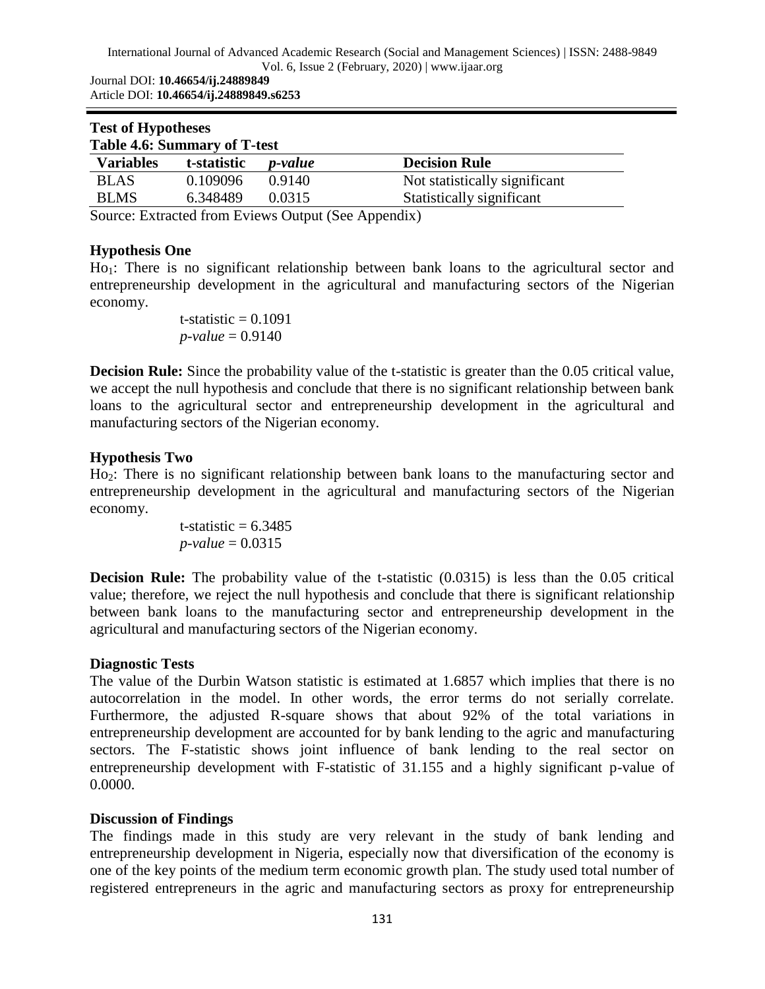#### International Journal of Advanced Academic Research (Social and Management Sciences) | ISSN: 2488-9849 Vol. 6, Issue 2 (February, 2020) | www.ijaar.org

Journal DOI: **10.46654/ij.24889849** Article DOI: **10.46654/ij.24889849.s6253**

| <b>Test of Hypotheses</b><br><b>Table 4.6: Summary of T-test</b> |             |                             |                               |  |
|------------------------------------------------------------------|-------------|-----------------------------|-------------------------------|--|
| <b>Variables</b>                                                 | t-statistic | <i>p</i> -value             | <b>Decision Rule</b>          |  |
| <b>BLAS</b>                                                      | 0.109096    | 0.9140                      | Not statistically significant |  |
| <b>BLMS</b>                                                      | 6.348489    | 0.0315                      | Statistically significant     |  |
| $\sim$                                                           |             | $\sim$ $\sim$ $\sim$ $\sim$ | $\cdots$                      |  |

Source: Extracted from Eviews Output (See Appendix)

#### **Hypothesis One**

Ho1: There is no significant relationship between bank loans to the agricultural sector and entrepreneurship development in the agricultural and manufacturing sectors of the Nigerian economy.

> t-statistic  $= 0.1091$ *p-value* = 0.9140

**Decision Rule:** Since the probability value of the t-statistic is greater than the 0.05 critical value, we accept the null hypothesis and conclude that there is no significant relationship between bank loans to the agricultural sector and entrepreneurship development in the agricultural and manufacturing sectors of the Nigerian economy.

#### **Hypothesis Two**

Ho2: There is no significant relationship between bank loans to the manufacturing sector and entrepreneurship development in the agricultural and manufacturing sectors of the Nigerian economy.

> t-statistic  $= 6.3485$ *p-value* = 0.0315

**Decision Rule:** The probability value of the t-statistic  $(0.0315)$  is less than the 0.05 critical value; therefore, we reject the null hypothesis and conclude that there is significant relationship between bank loans to the manufacturing sector and entrepreneurship development in the agricultural and manufacturing sectors of the Nigerian economy.

#### **Diagnostic Tests**

The value of the Durbin Watson statistic is estimated at 1.6857 which implies that there is no autocorrelation in the model. In other words, the error terms do not serially correlate. Furthermore, the adjusted R-square shows that about 92% of the total variations in entrepreneurship development are accounted for by bank lending to the agric and manufacturing sectors. The F-statistic shows joint influence of bank lending to the real sector on entrepreneurship development with F-statistic of 31.155 and a highly significant p-value of 0.0000.

## **Discussion of Findings**

The findings made in this study are very relevant in the study of bank lending and entrepreneurship development in Nigeria, especially now that diversification of the economy is one of the key points of the medium term economic growth plan. The study used total number of registered entrepreneurs in the agric and manufacturing sectors as proxy for entrepreneurship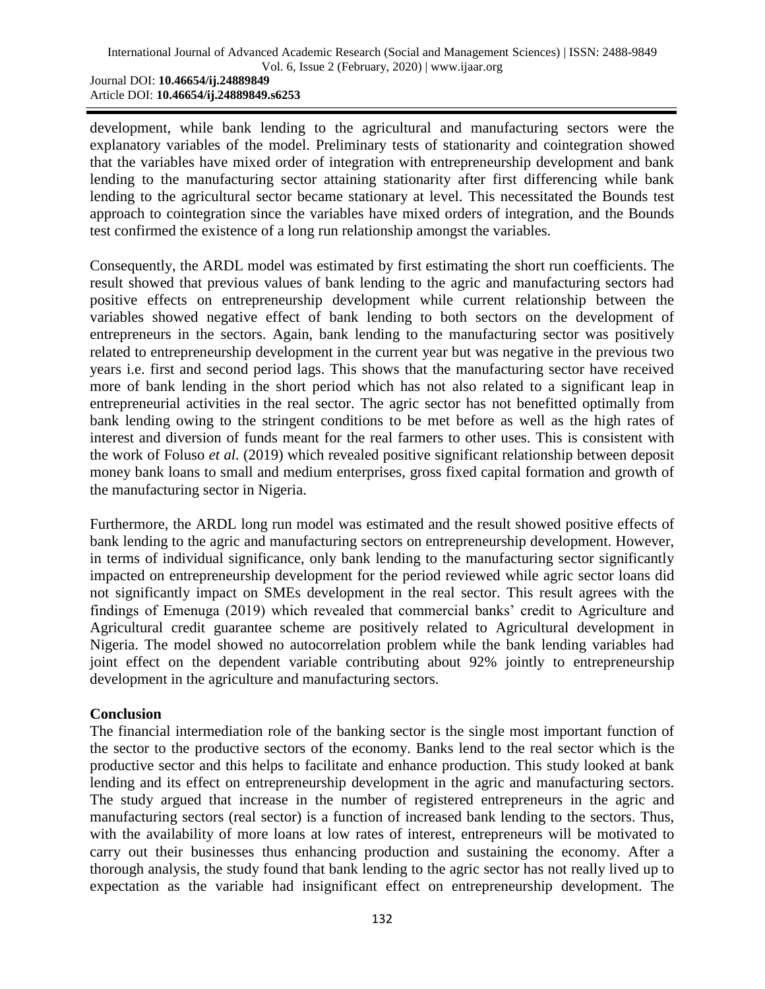development, while bank lending to the agricultural and manufacturing sectors were the explanatory variables of the model. Preliminary tests of stationarity and cointegration showed that the variables have mixed order of integration with entrepreneurship development and bank lending to the manufacturing sector attaining stationarity after first differencing while bank lending to the agricultural sector became stationary at level. This necessitated the Bounds test approach to cointegration since the variables have mixed orders of integration, and the Bounds test confirmed the existence of a long run relationship amongst the variables.

Consequently, the ARDL model was estimated by first estimating the short run coefficients. The result showed that previous values of bank lending to the agric and manufacturing sectors had positive effects on entrepreneurship development while current relationship between the variables showed negative effect of bank lending to both sectors on the development of entrepreneurs in the sectors. Again, bank lending to the manufacturing sector was positively related to entrepreneurship development in the current year but was negative in the previous two years i.e. first and second period lags. This shows that the manufacturing sector have received more of bank lending in the short period which has not also related to a significant leap in entrepreneurial activities in the real sector. The agric sector has not benefitted optimally from bank lending owing to the stringent conditions to be met before as well as the high rates of interest and diversion of funds meant for the real farmers to other uses. This is consistent with the work of Foluso *et al.* (2019) which revealed positive significant relationship between deposit money bank loans to small and medium enterprises, gross fixed capital formation and growth of the manufacturing sector in Nigeria.

Furthermore, the ARDL long run model was estimated and the result showed positive effects of bank lending to the agric and manufacturing sectors on entrepreneurship development. However, in terms of individual significance, only bank lending to the manufacturing sector significantly impacted on entrepreneurship development for the period reviewed while agric sector loans did not significantly impact on SMEs development in the real sector. This result agrees with the findings of Emenuga (2019) which revealed that commercial banks" credit to Agriculture and Agricultural credit guarantee scheme are positively related to Agricultural development in Nigeria. The model showed no autocorrelation problem while the bank lending variables had joint effect on the dependent variable contributing about 92% jointly to entrepreneurship development in the agriculture and manufacturing sectors.

## **Conclusion**

The financial intermediation role of the banking sector is the single most important function of the sector to the productive sectors of the economy. Banks lend to the real sector which is the productive sector and this helps to facilitate and enhance production. This study looked at bank lending and its effect on entrepreneurship development in the agric and manufacturing sectors. The study argued that increase in the number of registered entrepreneurs in the agric and manufacturing sectors (real sector) is a function of increased bank lending to the sectors. Thus, with the availability of more loans at low rates of interest, entrepreneurs will be motivated to carry out their businesses thus enhancing production and sustaining the economy. After a thorough analysis, the study found that bank lending to the agric sector has not really lived up to expectation as the variable had insignificant effect on entrepreneurship development. The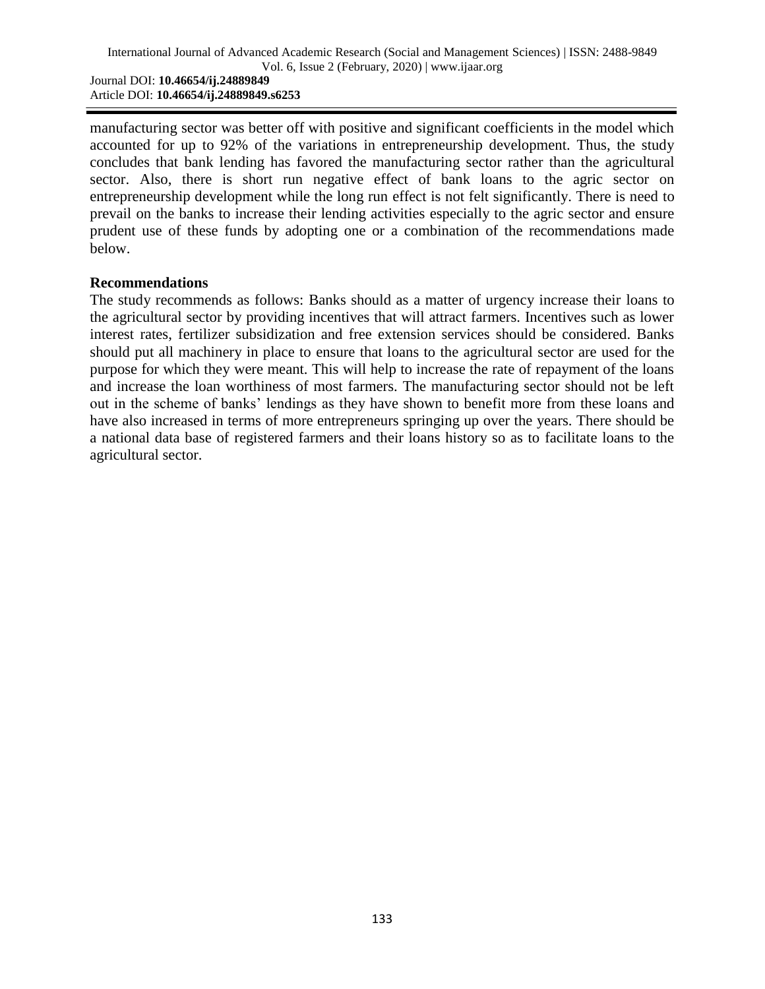manufacturing sector was better off with positive and significant coefficients in the model which accounted for up to 92% of the variations in entrepreneurship development. Thus, the study concludes that bank lending has favored the manufacturing sector rather than the agricultural sector. Also, there is short run negative effect of bank loans to the agric sector on entrepreneurship development while the long run effect is not felt significantly. There is need to prevail on the banks to increase their lending activities especially to the agric sector and ensure prudent use of these funds by adopting one or a combination of the recommendations made below.

#### **Recommendations**

The study recommends as follows: Banks should as a matter of urgency increase their loans to the agricultural sector by providing incentives that will attract farmers. Incentives such as lower interest rates, fertilizer subsidization and free extension services should be considered. Banks should put all machinery in place to ensure that loans to the agricultural sector are used for the purpose for which they were meant. This will help to increase the rate of repayment of the loans and increase the loan worthiness of most farmers. The manufacturing sector should not be left out in the scheme of banks" lendings as they have shown to benefit more from these loans and have also increased in terms of more entrepreneurs springing up over the years. There should be a national data base of registered farmers and their loans history so as to facilitate loans to the agricultural sector.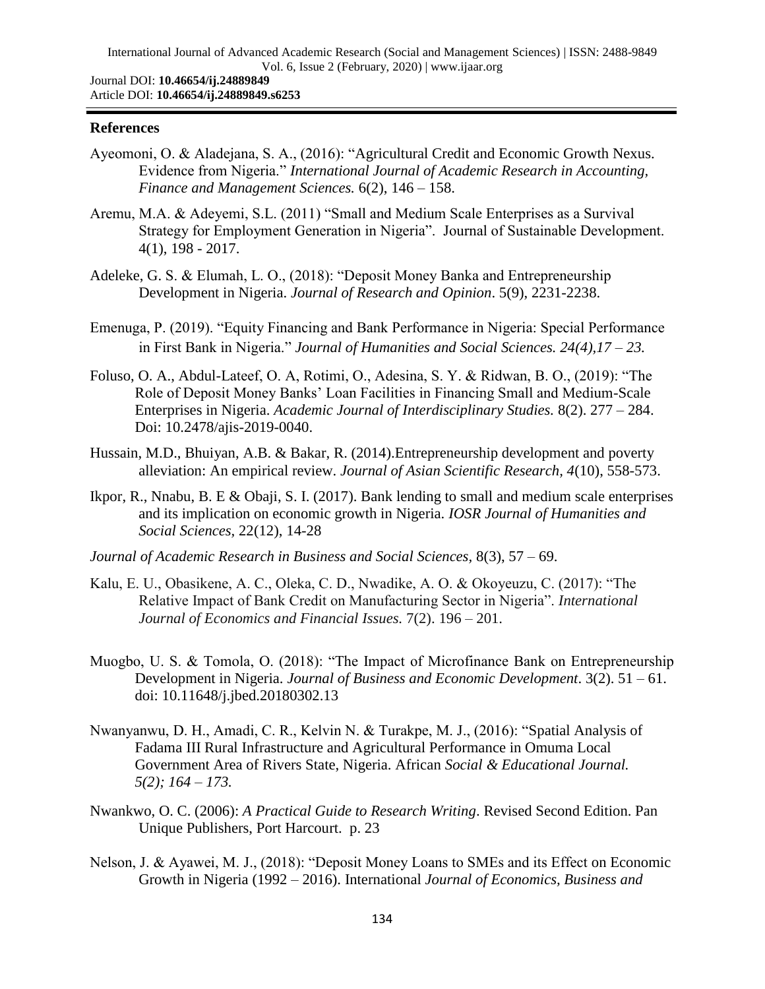#### **References**

- Ayeomoni, O. & Aladejana, S. A., (2016): "Agricultural Credit and Economic Growth Nexus. Evidence from Nigeria." *International Journal of Academic Research in Accounting, Finance and Management Sciences.* 6(2), 146 – 158.
- Aremu, M.A. & Adeyemi, S.L. (2011) "Small and Medium Scale Enterprises as a Survival Strategy for Employment Generation in Nigeria". Journal of Sustainable Development. 4(1), 198 - 2017.
- Adeleke, G. S. & Elumah, L. O., (2018): "Deposit Money Banka and Entrepreneurship Development in Nigeria. *Journal of Research and Opinion*. 5(9), 2231-2238.
- Emenuga, P. (2019). "Equity Financing and Bank Performance in Nigeria: Special Performance in First Bank in Nigeria." *Journal of Humanities and Social Sciences. 24(4),17 – 23.*
- Foluso, O. A., Abdul-Lateef, O. A, Rotimi, O., Adesina, S. Y. & Ridwan, B. O., (2019): "The Role of Deposit Money Banks" Loan Facilities in Financing Small and Medium-Scale Enterprises in Nigeria. *Academic Journal of Interdisciplinary Studies.* 8(2). 277 – 284. Doi: 10.2478/ajis-2019-0040.
- Hussain, M.D., Bhuiyan, A.B. & Bakar, R. (2014).Entrepreneurship development and poverty alleviation: An empirical review. *Journal of Asian Scientific Research, 4*(10), 558-573.
- Ikpor, R., Nnabu, B. E & Obaji, S. I. (2017). Bank lending to small and medium scale enterprises and its implication on economic growth in Nigeria. *IOSR Journal of Humanities and Social Sciences,* 22(12), 14-28
- *Journal of Academic Research in Business and Social Sciences,* 8(3), 57 69.
- Kalu, E. U., Obasikene, A. C., Oleka, C. D., Nwadike, A. O. & Okoyeuzu, C. (2017): "The Relative Impact of Bank Credit on Manufacturing Sector in Nigeria". *International Journal of Economics and Financial Issues.* 7(2). 196 – 201.
- Muogbo, U. S. & Tomola, O. (2018): "The Impact of Microfinance Bank on Entrepreneurship Development in Nigeria. *Journal of Business and Economic Development*. 3(2). 51 – 61. doi: 10.11648/j.jbed.20180302.13
- Nwanyanwu, D. H., Amadi, C. R., Kelvin N. & Turakpe, M. J., (2016): "Spatial Analysis of Fadama III Rural Infrastructure and Agricultural Performance in Omuma Local Government Area of Rivers State, Nigeria. African *Social & Educational Journal. 5(2); 164 – 173.*
- Nwankwo, O. C. (2006): *A Practical Guide to Research Writing*. Revised Second Edition. Pan Unique Publishers, Port Harcourt. p. 23
- Nelson, J. & Ayawei, M. J., (2018): "Deposit Money Loans to SMEs and its Effect on Economic Growth in Nigeria (1992 – 2016). International *Journal of Economics, Business and*